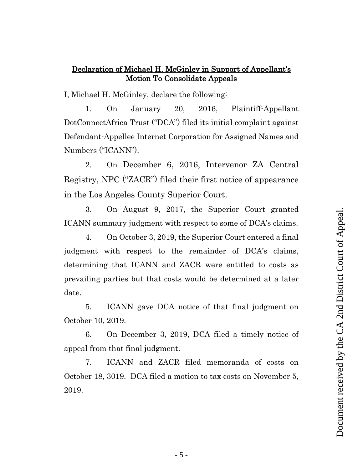## Declaration of Michael H. McGinley in Support of Appellant's Motion To Consolidate Appeals

I, Michael H. McGinley, declare the following:

1. On January 20, 2016, Plaintiff-Appellant DotConnectAfrica Trust ("DCA") filed its initial complaint against Defendant-Appellee Internet Corporation for Assigned Names and Numbers ("ICANN").

2. On December 6, 2016, Intervenor ZA Central Registry, NPC ("ZACR") filed their first notice of appearance in the Los Angeles County Superior Court.

3. On August 9, 2017, the Superior Court granted ICANN summary judgment with respect to some of DCA's claims.

4. On October 3, 2019, the Superior Court entered a final judgment with respect to the remainder of DCA's claims, determining that ICANN and ZACR were entitled to costs as prevailing parties but that costs would be determined at a later date.

5. ICANN gave DCA notice of that final judgment on October 10, 2019.

6. On December 3, 2019, DCA filed a timely notice of appeal from that final judgment.

7. ICANN and ZACR filed memoranda of costs on October 18, 3019. DCA filed a motion to tax costs on November 5, 2019.